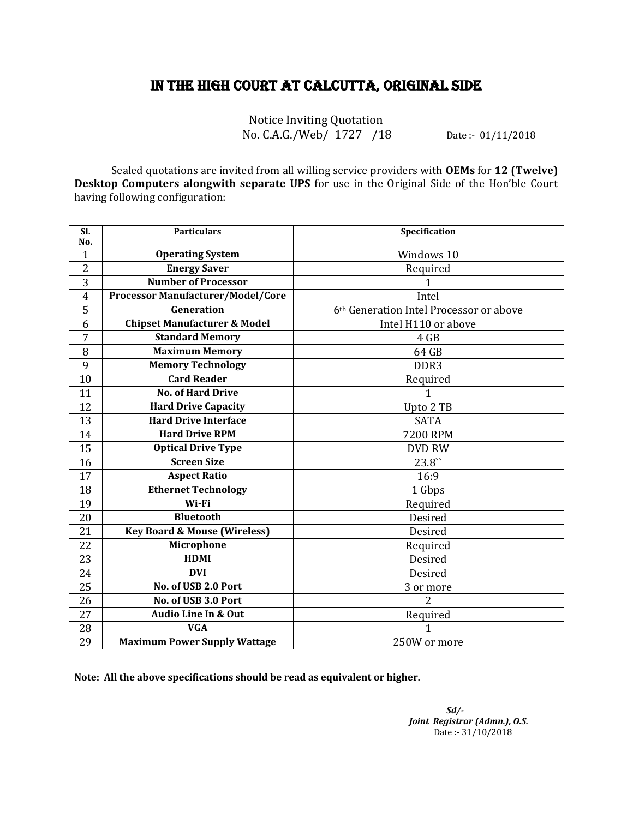## IN THE HIGH COURT AT CALCUTTA, ORIGINAL SIDE

Notice Inviting Quotation No. C.A.G./Web/ 1727 /18 Date :- 01/11/2018

Sealed quotations are invited from all willing service providers with **OEMs** for **12 (Twelve) Desktop Computers alongwith separate UPS** for use in the Original Side of the Hon'ble Court having following configuration:

| Sl.<br>No.     | <b>Particulars</b>                       | Specification                           |
|----------------|------------------------------------------|-----------------------------------------|
| $\mathbf{1}$   | <b>Operating System</b>                  | Windows 10                              |
| $\overline{c}$ | <b>Energy Saver</b>                      | Required                                |
| 3              | <b>Number of Processor</b>               | 1                                       |
| 4              | <b>Processor Manufacturer/Model/Core</b> | Intel                                   |
| 5              | Generation                               | 6th Generation Intel Processor or above |
| 6              | <b>Chipset Manufacturer &amp; Model</b>  | Intel H110 or above                     |
| 7              | <b>Standard Memory</b>                   | 4 GB                                    |
| 8              | <b>Maximum Memory</b>                    | 64 GB                                   |
| 9              | <b>Memory Technology</b>                 | DDR3                                    |
| 10             | <b>Card Reader</b>                       | Required                                |
| 11             | <b>No. of Hard Drive</b>                 | $\mathbf{1}$                            |
| 12             | <b>Hard Drive Capacity</b>               | Upto 2 TB                               |
| 13             | <b>Hard Drive Interface</b>              | <b>SATA</b>                             |
| 14             | <b>Hard Drive RPM</b>                    | <b>7200 RPM</b>                         |
| 15             | <b>Optical Drive Type</b>                | <b>DVD RW</b>                           |
| 16             | <b>Screen Size</b>                       | $23.8^{\prime\prime}$                   |
| 17             | <b>Aspect Ratio</b>                      | 16:9                                    |
| 18             | <b>Ethernet Technology</b>               | 1 Gbps                                  |
| 19             | Wi-Fi                                    | Required                                |
| 20             | <b>Bluetooth</b>                         | Desired                                 |
| 21             | <b>Key Board &amp; Mouse (Wireless)</b>  | Desired                                 |
| 22             | Microphone                               | Required                                |
| 23             | <b>HDMI</b>                              | Desired                                 |
| 24             | <b>DVI</b>                               | Desired                                 |
| 25             | No. of USB 2.0 Port                      | 3 or more                               |
| 26             | No. of USB 3.0 Port                      | $\overline{2}$                          |
| 27             | Audio Line In & Out                      | Required                                |
| 28             | <b>VGA</b>                               |                                         |
| 29             | Maximum Power Supply Wattage             | 250W or more                            |

**Note: All the above specifications should be read as equivalent or higher.**

*Sd/- Joint Registrar (Admn.), O.S.* Date :- 31/10/2018